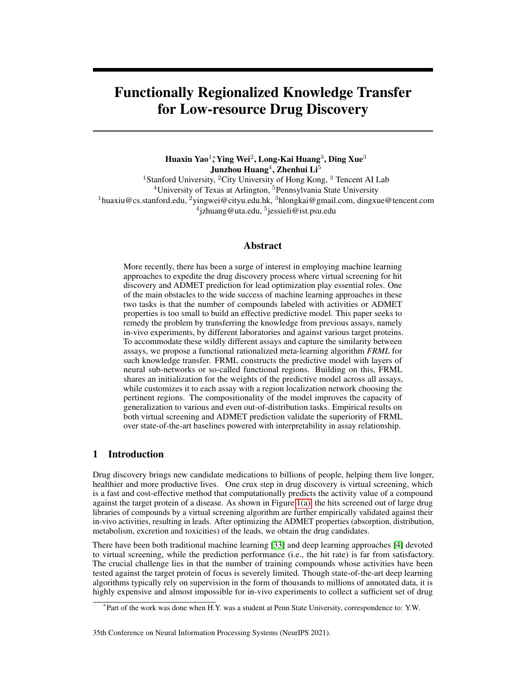# Functionally Regionalized Knowledge Transfer for Low-resource Drug Discovery

Huaxiu Yao $^1$ ; Ying Wei $^2$ , Long-Kai Huang $^3$ , Ding Xue $^3$ Junzhou Huang $^4$ , Zhenhui Li $^5$ <sup>1</sup>Stanford University, <sup>2</sup>City University of Hong Kong, <sup>3</sup> Tencent AI Lab <sup>4</sup>University of Texas at Arlington, <sup>5</sup>Pennsylvania State University  $1$ huaxiu@cs.stanford.edu,  $2$ yingwei@cityu.edu.hk,  $3$ hlongkai@gmail.com, dingxue@tencent.com <sup>4</sup>jzhuang@uta.edu, <sup>5</sup>jessieli@ist.psu.edu

# Abstract

More recently, there has been a surge of interest in employing machine learning approaches to expedite the drug discovery process where virtual screening for hit discovery and ADMET prediction for lead optimization play essential roles. One of the main obstacles to the wide success of machine learning approaches in these two tasks is that the number of compounds labeled with activities or ADMET properties is too small to build an effective predictive model. This paper seeks to remedy the problem by transferring the knowledge from previous assays, namely in-vivo experiments, by different laboratories and against various target proteins. To accommodate these wildly different assays and capture the similarity between assays, we propose a functional rationalized meta-learning algorithm *FRML* for such knowledge transfer. FRML constructs the predictive model with layers of neural sub-networks or so-called functional regions. Building on this, FRML shares an initialization for the weights of the predictive model across all assays, while customizes it to each assay with a region localization network choosing the pertinent regions. The compositionality of the model improves the capacity of generalization to various and even out-of-distribution tasks. Empirical results on both virtual screening and ADMET prediction validate the superiority of FRML over state-of-the-art baselines powered with interpretability in assay relationship.

# 1 Introduction

Drug discovery brings new candidate medications to billions of people, helping them live longer, healthier and more productive lives. One crux step in drug discovery is virtual screening, which is a fast and cost-effective method that computationally predicts the activity value of a compound against the target protein of a disease. As shown in Figure [1\(a\),](#page-1-0) the hits screened out of large drug libraries of compounds by a virtual screening algorithm are further empirically validated against their in-vivo activities, resulting in leads. After optimizing the ADMET properties (absorption, distribution, metabolism, excretion and toxicities) of the leads, we obtain the drug candidates.

There have been both traditional machine learning [\[33\]](#page-11-0) and deep learning approaches [\[4\]](#page-10-0) devoted to virtual screening, while the prediction performance (i.e., the hit rate) is far from satisfactory. The crucial challenge lies in that the number of training compounds whose activities have been tested against the target protein of focus is severely limited. Though state-of-the-art deep learning algorithms typically rely on supervision in the form of thousands to millions of annotated data, it is highly expensive and almost impossible for in-vivo experiments to collect a sufficient set of drug

<sup>∗</sup> Part of the work was done when H.Y. was a student at Penn State University, correspondence to: Y.W.

<sup>35</sup>th Conference on Neural Information Processing Systems (NeurIPS 2021).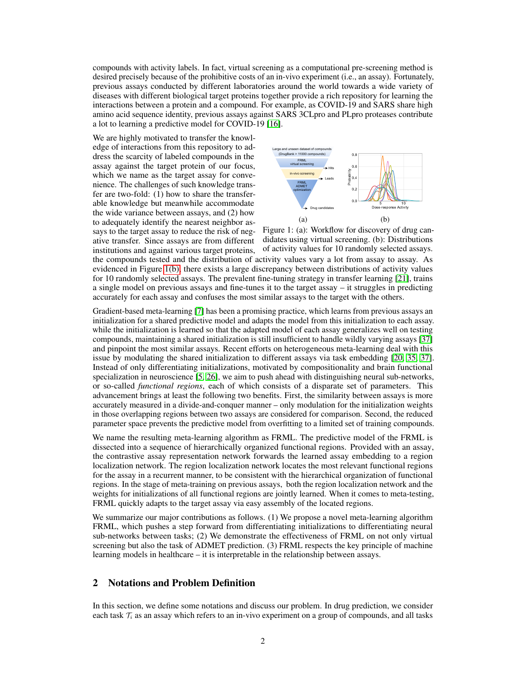compounds with activity labels. In fact, virtual screening as a computational pre-screening method is desired precisely because of the prohibitive costs of an in-vivo experiment (i.e., an assay). Fortunately, previous assays conducted by different laboratories around the world towards a wide variety of diseases with different biological target proteins together provide a rich repository for learning the interactions between a protein and a compound. For example, as COVID-19 and SARS share high amino acid sequence identity, previous assays against SARS 3CLpro and PLpro proteases contribute a lot to learning a predictive model for COVID-19 [\[16\]](#page-10-1).

We are highly motivated to transfer the knowledge of interactions from this repository to address the scarcity of labeled compounds in the assay against the target protein of our focus, which we name as the target assay for convenience. The challenges of such knowledge transfer are two-fold: (1) how to share the transferable knowledge but meanwhile accommodate the wide variance between assays, and (2) how to adequately identify the nearest neighbor assays to the target assay to reduce the risk of negative transfer. Since assays are from different institutions and against various target proteins,

<span id="page-1-0"></span>

Figure 1: (a): Workflow for discovery of drug candidates using virtual screening. (b): Distributions of activity values for 10 randomly selected assays. the compounds tested and the distribution of activity values vary a lot from assay to assay. As evidenced in Figure [1\(b\),](#page-1-0) there exists a large discrepancy between distributions of activity values for 10 randomly selected assays. The prevalent fine-tuning strategy in transfer learning [\[21\]](#page-11-1), trains a single model on previous assays and fine-tunes it to the target assay – it struggles in predicting accurately for each assay and confuses the most similar assays to the target with the others.

Gradient-based meta-learning [\[7\]](#page-10-2) has been a promising practice, which learns from previous assays an initialization for a shared predictive model and adapts the model from this initialization to each assay. while the initialization is learned so that the adapted model of each assay generalizes well on testing compounds, maintaining a shared initialization is still insufficient to handle wildly varying assays [\[37\]](#page-11-2) and pinpoint the most similar assays. Recent efforts on heterogeneous meta-learning deal with this issue by modulating the shared initialization to different assays via task embedding [\[20,](#page-10-3) [35,](#page-11-3) [37\]](#page-11-2). Instead of only differentiating initializations, motivated by compositionality and brain functional specialization in neuroscience [\[5,](#page-10-4) [26\]](#page-11-4), we aim to push ahead with distinguishing neural sub-networks, or so-called *functional regions*, each of which consists of a disparate set of parameters. This advancement brings at least the following two benefits. First, the similarity between assays is more accurately measured in a divide-and-conquer manner – only modulation for the initialization weights in those overlapping regions between two assays are considered for comparison. Second, the reduced parameter space prevents the predictive model from overfitting to a limited set of training compounds.

We name the resulting meta-learning algorithm as FRML. The predictive model of the FRML is dissected into a sequence of hierarchically organized functional regions. Provided with an assay, the contrastive assay representation network forwards the learned assay embedding to a region localization network. The region localization network locates the most relevant functional regions for the assay in a recurrent manner, to be consistent with the hierarchical organization of functional regions. In the stage of meta-training on previous assays, both the region localization network and the weights for initializations of all functional regions are jointly learned. When it comes to meta-testing, FRML quickly adapts to the target assay via easy assembly of the located regions.

We summarize our major contributions as follows. (1) We propose a novel meta-learning algorithm FRML, which pushes a step forward from differentiating initializations to differentiating neural sub-networks between tasks; (2) We demonstrate the effectiveness of FRML on not only virtual screening but also the task of ADMET prediction. (3) FRML respects the key principle of machine learning models in healthcare – it is interpretable in the relationship between assays.

# 2 Notations and Problem Definition

In this section, we define some notations and discuss our problem. In drug prediction, we consider each task  $\mathcal{T}_i$  as an assay which refers to an in-vivo experiment on a group of compounds, and all tasks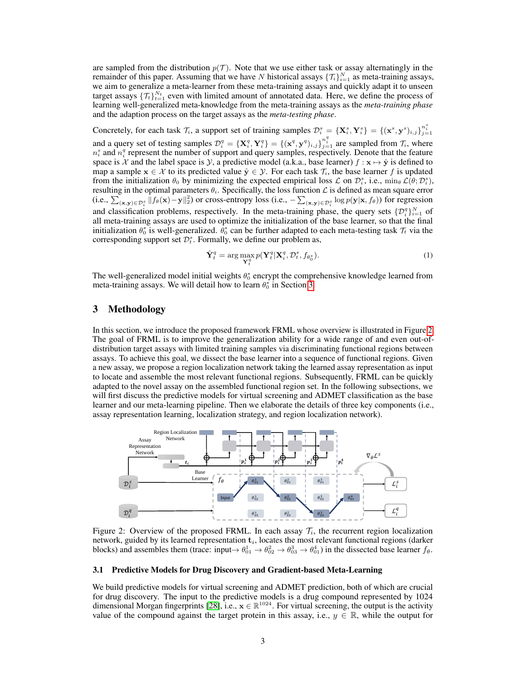are sampled from the distribution  $p(\mathcal{T})$ . Note that we use either task or assay alternatingly in the remainder of this paper. Assuming that we have N historical assays  $\{\mathcal{T}_i\}_{i=1}^N$  as meta-training assays, we aim to generalize a meta-learner from these meta-training assays and quickly adapt it to unseen target assays  $\{\mathcal{T}_t\}_{t=1}^{N_t}$  even with limited amount of annotated data. Here, we define the process of learning well-generalized meta-knowledge from the meta-training assays as the *meta-training phase* and the adaption process on the target assays as the *meta-testing phase*.

Concretely, for each task  $\mathcal{T}_i$ , a support set of training samples  $\mathcal{D}_i^s = {\mathbf{X}_i^s, \mathbf{Y}_i^s} = {\mathbf{y}_i^s, \mathbf{y}_i^s, \mathbf{y}_i^s}$ and a query set of testing samples  $\mathcal{D}_i^q = {\{\mathbf{X}_i^q, \mathbf{Y}_i^q\}} = {\{\mathbf{x}^q, \mathbf{y}^q\}_{i,j=1}^n}$  are sampled from  $\mathcal{T}_i$ , where  $n_i^s$  and  $n_i^q$  represent the number of support and query samples, respectively. Denote that the feature space is X and the label space is Y, a predictive model (a.k.a., base learner)  $f : \mathbf{x} \mapsto \hat{\mathbf{y}}$  is defined to map a sample  $x \in \mathcal{X}$  to its predicted value  $\hat{y} \in \mathcal{Y}$ . For each task  $\mathcal{T}_i$ , the base learner f is updated from the initialization  $\theta_0$  by minimizing the expected empirical loss  $\mathcal L$  on  $\mathcal D_i^s$ , i.e.,  $\min_{\theta} \mathcal L(\theta; \mathcal D_i^s)$ , resulting in the optimal parameters  $\theta_i$ . Specifically, the loss function  $\mathcal L$  is defined as mean square error (i.e.,  $\sum_{(\mathbf{x}, \mathbf{y}) \in \mathcal{D}_i^s} \|f_\theta(\mathbf{x}) - \mathbf{y}\|_2^2$ ) or cross-entropy loss (i.e.,  $-\sum_{(\mathbf{x}, \mathbf{y}) \in \mathcal{D}_i^s} \log p(\mathbf{y}|\mathbf{x}, f_\theta)$ ) for regression and classification problems, respectively. In the meta-training phase, the query sets  $\{\mathcal{D}_{i}^{q}\}_{i=1}^{N}$  of all meta-training assays are used to optimize the initialization of the base learner, so that the final initialization  $\theta_0^*$  is well-generalized.  $\bar{\theta}_0^*$  can be further adapted to each meta-testing task  $\tau_t$  via the corresponding support set  $\mathcal{D}_{t}^{s}$ . Formally, we define our problem as,

$$
\hat{\mathbf{Y}}_t^q = \arg \max_{\mathbf{Y}_t^q} p(\mathbf{Y}_t^q | \mathbf{X}_i^q, \mathcal{D}_t^s, f_{\theta_0^*}).
$$
\n(1)

The well-generalized model initial weights  $\theta_0^*$  encrypt the comprehensive knowledge learned from meta-training assays. We will detail how to learn  $\theta_0^*$  in Section [3.](#page-2-0)

## <span id="page-2-0"></span>3 Methodology

In this section, we introduce the proposed framework FRML whose overview is illustrated in Figure [2.](#page-2-1) The goal of FRML is to improve the generalization ability for a wide range of and even out-ofdistribution target assays with limited training samples via discriminating functional regions between assays. To achieve this goal, we dissect the base learner into a sequence of functional regions. Given a new assay, we propose a region localization network taking the learned assay representation as input to locate and assemble the most relevant functional regions. Subsequently, FRML can be quickly adapted to the novel assay on the assembled functional region set. In the following subsections, we will first discuss the predictive models for virtual screening and ADMET classification as the base learner and our meta-learning pipeline. Then we elaborate the details of three key components (i.e., assay representation learning, localization strategy, and region localization network).

<span id="page-2-1"></span>

Figure 2: Overview of the proposed FRML. In each assay  $\mathcal{T}_i$ , the recurrent region localization network, guided by its learned representation  $t_i$ , locates the most relevant functional regions (darker blocks) and assembles them (trace: input $\to \theta_{01}^1 \to \theta_{02}^2 \to \theta_{03}^3 \to \theta_{01}^4$ ) in the dissected base learner  $f_\theta$ .

## 3.1 Predictive Models for Drug Discovery and Gradient-based Meta-Learning

We build predictive models for virtual screening and ADMET prediction, both of which are crucial for drug discovery. The input to the predictive models is a drug compound represented by 1024 dimensional Morgan fingerprints [\[28\]](#page-11-5), i.e.,  $x \in \mathbb{R}^{1024}$ . For virtual screening, the output is the activity value of the compound against the target protein in this assay, i.e.,  $y \in \mathbb{R}$ , while the output for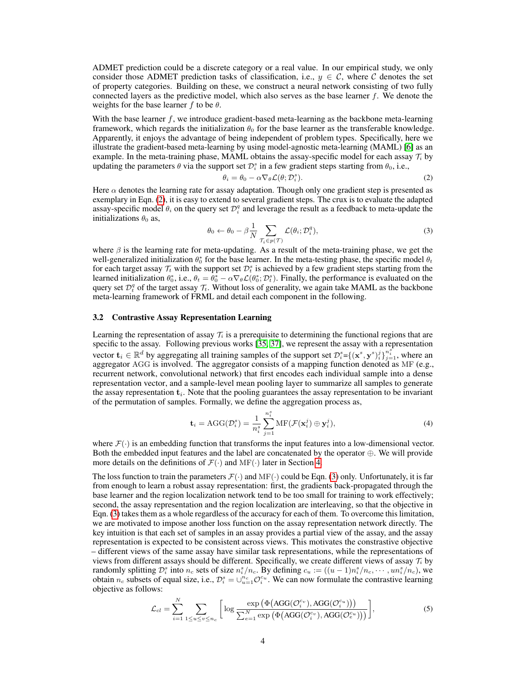ADMET prediction could be a discrete category or a real value. In our empirical study, we only consider those ADMET prediction tasks of classification, i.e.,  $y \in \mathcal{C}$ , where C denotes the set of property categories. Building on these, we construct a neural network consisting of two fully connected layers as the predictive model, which also serves as the base learner f. We denote the weights for the base learner f to be  $\theta$ .

With the base learner  $f$ , we introduce gradient-based meta-learning as the backbone meta-learning framework, which regards the initialization  $\theta_0$  for the base learner as the transferable knowledge. Apparently, it enjoys the advantage of being independent of problem types. Specifically, here we illustrate the gradient-based meta-learning by using model-agnostic meta-learning (MAML) [\[6\]](#page-10-5) as an example. In the meta-training phase, MAML obtains the assay-specific model for each assay  $\mathcal{T}_i$  by updating the parameters  $\theta$  via the support set  $\mathcal{D}_i^s$  in a few gradient steps starting from  $\theta_0$ , i.e.,

<span id="page-3-0"></span>
$$
\theta_i = \theta_0 - \alpha \nabla_{\theta} \mathcal{L}(\theta; \mathcal{D}_i^s). \tag{2}
$$

Here  $\alpha$  denotes the learning rate for assay adaptation. Though only one gradient step is presented as exemplary in Eqn. [\(2\)](#page-3-0), it is easy to extend to several gradient steps. The crux is to evaluate the adapted assay-specific model  $\theta_i$  on the query set  $\mathcal{D}_i^q$  and leverage the result as a feedback to meta-update the initializations  $\theta_0$  as,

<span id="page-3-1"></span>
$$
\theta_0 \leftarrow \theta_0 - \beta \frac{1}{N} \sum_{\mathcal{T}_i \in p(\mathcal{T})} \mathcal{L}(\theta_i; \mathcal{D}_i^q),\tag{3}
$$

where  $\beta$  is the learning rate for meta-updating. As a result of the meta-training phase, we get the well-generalized initialization  $\theta_0^*$  for the base learner. In the meta-testing phase, the specific model  $\theta_t$ for each target assay  $\mathcal{T}_t$  with the support set  $\mathcal{D}_t^s$  is achieved by a few gradient steps starting from the learned initialization  $\theta_0^*$ , i.e.,  $\theta_t = \theta_0^* - \alpha \nabla_{\theta} \mathcal{L}(\theta_0^*; \mathcal{D}_t^*)$ . Finally, the performance is evaluated on the query set  $\mathcal{D}_t^q$  of the target assay  $\mathcal{T}_t$ . Without loss of generality, we again take MAML as the backbone meta-learning framework of FRML and detail each component in the following.

#### 3.2 Contrastive Assay Representation Learning

Learning the representation of assay  $\mathcal{T}_i$  is a prerequisite to determining the functional regions that are specific to the assay. Following previous works [\[35,](#page-11-3) [37\]](#page-11-2), we represent the assay with a representation vector  $\mathbf{t}_i \in \mathbb{R}^d$  by aggregating all training samples of the support set  $\mathcal{D}_i^s = \{(\mathbf{x}^s, \mathbf{y}^s)\}_{i=1}^i$ , where an aggregator AGG is involved. The aggregator consists of a mapping function denoted as MF (e.g., recurrent network, convolutional network) that first encodes each individual sample into a dense representation vector, and a sample-level mean pooling layer to summarize all samples to generate the assay representation  $t_i$ . Note that the pooling guarantees the assay representation to be invariant of the permutation of samples. Formally, we define the aggregation process as,

<span id="page-3-3"></span>
$$
\mathbf{t}_{i} = \text{AGG}(\mathcal{D}_{i}^{s}) = \frac{1}{n_{i}^{s}} \sum_{j=1}^{n_{i}^{s}} \text{MF}(\mathcal{F}(\mathbf{x}_{i}^{j}) \oplus \mathbf{y}_{i}^{j}),
$$
\n(4)

where  $\mathcal{F}(\cdot)$  is an embedding function that transforms the input features into a low-dimensional vector. Both the embedded input features and the label are concatenated by the operator ⊕. We will provide more details on the definitions of  $\mathcal{F}(\cdot)$  and MF( $\cdot$ ) later in Section [4.](#page-5-0)

The loss function to train the parameters  $\mathcal{F}(\cdot)$  and  $\text{MF}(\cdot)$  could be Eqn. [\(3\)](#page-3-1) only. Unfortunately, it is far from enough to learn a robust assay representation: first, the gradients back-propagated through the base learner and the region localization network tend to be too small for training to work effectively; second, the assay representation and the region localization are interleaving, so that the objective in Eqn. [\(3\)](#page-3-1) takes them as a whole regardless of the accuracy for each of them. To overcome this limitation, we are motivated to impose another loss function on the assay representation network directly. The key intuition is that each set of samples in an assay provides a partial view of the assay, and the assay representation is expected to be consistent across views. This motivates the constrastive objective – different views of the same assay have similar task representations, while the representations of views from different assays should be different. Specifically, we create different views of assay  $\mathcal{T}_i$  by randomly splitting  $\mathcal{D}_i^s$  into  $n_c$  sets of size  $n_i^s/n_c$ . By defining  $c_u := ((u-1)n_i^s/n_c, \cdots, un_i^s/n_c)$ , we obtain  $n_c$  subsets of equal size, i.e.,  $\mathcal{D}_i^s = \bigcup_{u=1}^{n_c} \mathcal{O}_i^{cu}$ . We can now formulate the contrastive learning objective as follows:

<span id="page-3-2"></span>
$$
\mathcal{L}_{cl} = \sum_{i=1}^{N} \sum_{1 \le u \le v \le n_c} \left[ \log \frac{\exp \left( \Phi \left( \text{AGG}(\mathcal{O}_i^{c_v}), \text{AGG}(\mathcal{O}_i^{c_u}) \right) \right)}{\sum_{e=1}^{N} \exp \left( \Phi \left( \text{AGG}(\mathcal{O}_i^{c_v}), \text{AGG}(\mathcal{O}_e^{c_u}) \right) \right)} \right], \tag{5}
$$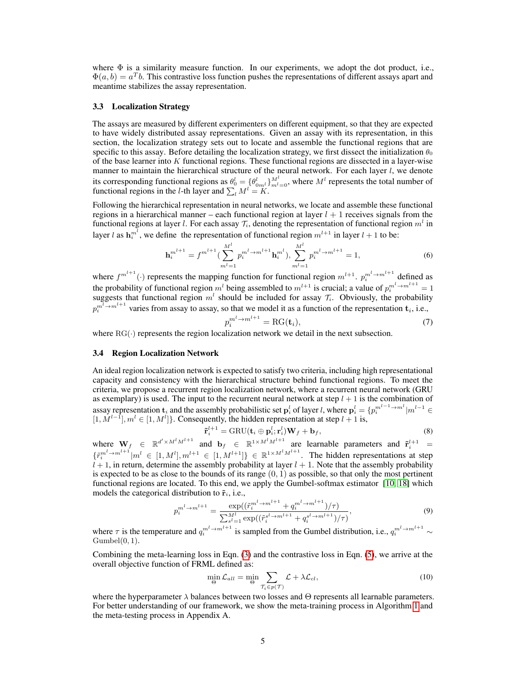where  $\Phi$  is a similarity measure function. In our experiments, we adopt the dot product, i.e.,  $\Phi(a, b) = a^T b$ . This contrastive loss function pushes the representations of different assays apart and meantime stabilizes the assay representation.

## 3.3 Localization Strategy

The assays are measured by different experimenters on different equipment, so that they are expected to have widely distributed assay representations. Given an assay with its representation, in this section, the localization strategy sets out to locate and assemble the functional regions that are specific to this assay. Before detailing the localization strategy, we first dissect the initialization  $\theta_0$ of the base learner into K functional regions. These functional regions are dissected in a layer-wise manner to maintain the hierarchical structure of the neural network. For each layer  $l$ , we denote its corresponding functional regions as  $\theta_0^l = \{\theta_{0m^l}^l\}_{m^l=0}^M$ , where  $M^l$  represents the total number of functional regions in the *l*-th layer and  $\sum_l M^l = K$ .

Following the hierarchical representation in neural networks, we locate and assemble these functional regions in a hierarchical manner – each functional region at layer  $l + 1$  receives signals from the functional regions at layer *l*. For each assay  $\mathcal{T}_i$ , denoting the representation of functional region  $m^l$  in layer *l* as  $h_i^{m^l}$ , we define the representation of functional region  $m^{l+1}$  in layer  $l + 1$  to be:

$$
\mathbf{h}_{i}^{m^{l+1}} = f^{m^{l+1}} \left( \sum_{m^{l}=1}^{M^{l}} p_{i}^{m^{l} \rightarrow m^{l+1}} \mathbf{h}_{i}^{m^{l}} \right), \sum_{m^{l}=1}^{M^{l}} p_{i}^{m^{l} \rightarrow m^{l+1}} = 1, \tag{6}
$$

where  $f^{m^{l+1}}(\cdot)$  represents the mapping function for functional region  $m^{l+1}$ .  $p_i^{m^l \to m^{l+1}}$  defined as the probability of functional region  $m^l$  being assembled to  $m^{l+1}$  is crucial; a value of  $p_i^{m^l \to m^{l+1}} = 1$ suggests that functional region  $m<sup>l</sup>$  should be included for assay  $\mathcal{T}_i$ . Obviously, the probability  $p_i^{m^l \to m^{l+1}}$  varies from assay to assay, so that we model it as a function of the representation  $\mathbf{t}_i$ , i.e.,

$$
p_i^{m^l \to m^{l+1}} = \text{RG}(\mathbf{t}_i),\tag{7}
$$

where  $RG(\cdot)$  represents the region localization network we detail in the next subsection.

#### 3.4 Region Localization Network

An ideal region localization network is expected to satisfy two criteria, including high representational capacity and consistency with the hierarchical structure behind functional regions. To meet the criteria, we propose a recurrent region localization network, where a recurrent neural network (GRU as exemplary) is used. The input to the recurrent neural network at step  $l + 1$  is the combination of assay representation  $t_i$  and the assembly probabilistic set  $p_i^l$  of layer *l*, where  $p_i^l = \{p_i^{m^{l-1} \to m^l} | m^{l-1} \in$  $[1, M^{l-1}], m^l \in [1, M^l]$ . Consequently, the hidden representation at step  $l + 1$  is,

<span id="page-4-1"></span><span id="page-4-0"></span>
$$
\tilde{\mathbf{r}}_i^{l+1} = \text{GRU}(\mathbf{t}_i \oplus \mathbf{p}_i^l; \mathbf{r}_i^l) \mathbf{W}_f + \mathbf{b}_f, \tag{8}
$$

where  $\mathbf{W}_f \in \mathbb{R}^{d' \times M^l M^{l+1}}$  and  $\mathbf{b}_f \in \mathbb{R}^{1 \times M^l M^{l+1}}$  are learnable parameters and  $\tilde{\mathbf{r}}_i^{l+1} =$  ${\lbrace \tilde{r_i}^{m^l \rightarrow m^{l+1}} | m^l \in [1, M^l], m^{l+1} \in [1, M^{l+1}]\rbrace} \in \mathbb{R}^{1 \times M^l M^{l+1}}$ . The hidden representations at step  $l + 1$ , in return, determine the assembly probability at layer  $l + 1$ . Note that the assembly probability is expected to be as close to the bounds of its range  $(0, 1)$  as possible, so that only the most pertinent functional regions are located. To this end, we apply the Gumbel-softmax estimator [\[10,](#page-10-6) [18\]](#page-10-7) which models the categorical distribution to  $\tilde{\mathbf{r}}_i$ , i.e.,

$$
p_i^{m^l \to m^{l+1}} = \frac{\exp((\tilde{r}_i^{m^l \to m^{l+1}} + q_i^{m^l \to m^{l+1}})/\tau)}{\sum_{s^l=1}^{M^l} \exp((\tilde{r}_i^{s^l \to m^{l+1}} + q_i^{s^l \to m^{l+1}})/\tau)},
$$
\n(9)

where  $\tau$  is the temperature and  $q_i^{m^l \to m^{l+1}}$  is sampled from the Gumbel distribution, i.e.,  $q_i^{m^l \to m^{l+1}} \sim$  $Gumbel(0, 1)$ .

Combining the meta-learning loss in Eqn. [\(3\)](#page-3-1) and the contrastive loss in Eqn. [\(5\)](#page-3-2), we arrive at the overall objective function of FRML defined as:

$$
\min_{\Theta} \mathcal{L}_{all} = \min_{\Theta} \sum_{\mathcal{T}_i \in p(\mathcal{T})} \mathcal{L} + \lambda \mathcal{L}_{cl},\tag{10}
$$

where the hyperparameter  $\lambda$  balances between two losses and  $\Theta$  represents all learnable parameters. For better understanding of our framework, we show the meta-training process in Algorithm [1](#page-5-1) and the meta-testing process in Appendix A.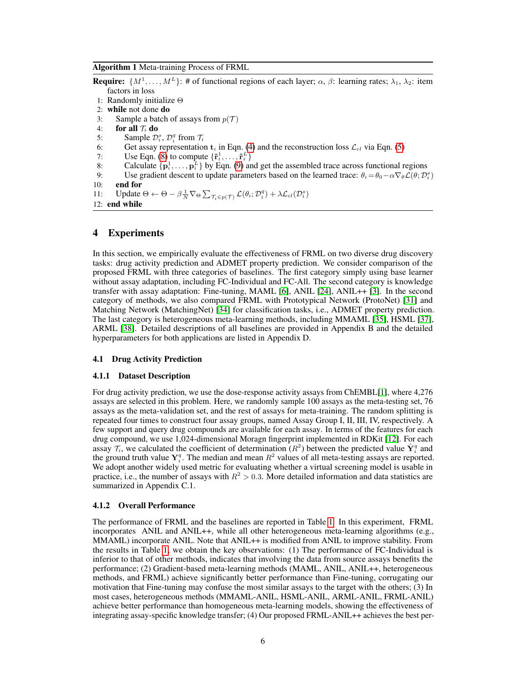<span id="page-5-1"></span>Algorithm 1 Meta-training Process of FRML

```
Require: \{M^1, \ldots, M^L\}: # of functional regions of each layer; \alpha, \beta: learning rates; \lambda_1, \lambda_2: item
factors in loss
```
- 1: Randomly initialize Θ
- 2: while not done do
- 3: Sample a batch of assays from  $p(\mathcal{T})$
- 4: for all  $\mathcal{T}_i$  do
- 5: Sample  $\mathcal{D}_i^s$ ,  $\mathcal{D}_i^q$  from  $\mathcal{T}_i$
- 6: Get assay representation  $t_i$  in Eqn. [\(4\)](#page-3-3) and the reconstruction loss  $\mathcal{L}_{cl}$  via Eqn. [\(5\)](#page-3-2)
- 7: Use Eqn. [\(8\)](#page-4-0) to compute  $\{\tilde{\mathbf{r}}_i^1, \dots, \tilde{\mathbf{r}}_i^L\}$
- 8: Calculate  $\{p_i^1, \ldots, p_i^L\}$  by Eqn. [\(9\)](#page-4-1) and get the assembled trace across functional regions
- 9: Use gradient descent to update parameters based on the learned trace:  $\theta_i = \theta_0 \alpha \nabla_{\theta} \mathcal{L}(\theta; \mathcal{D}_i^s)$ 10: end for
- 
- 11: Update  $\Theta \leftarrow \Theta \beta \frac{1}{N} \nabla_{\Theta} \sum_{\mathcal{T}_i \in p(\mathcal{T})} \mathcal{L}(\theta_i; \mathcal{D}_i^q) + \lambda \mathcal{L}_{cl}(\mathcal{D}_i^s)$
- 12: end while

# <span id="page-5-0"></span>4 Experiments

In this section, we empirically evaluate the effectiveness of FRML on two diverse drug discovery tasks: drug activity prediction and ADMET property prediction. We consider comparison of the proposed FRML with three categories of baselines. The first category simply using base learner without assay adaptation, including FC-Individual and FC-All. The second category is knowledge transfer with assay adaptation: Fine-tuning, MAML [\[6\]](#page-10-5), ANIL [\[24\]](#page-11-6), ANIL++ [\[3\]](#page-10-8). In the second category of methods, we also compared FRML with Prototypical Network (ProtoNet) [\[31\]](#page-11-7) and Matching Network (MatchingNet) [\[34\]](#page-11-8) for classification tasks, i.e., ADMET property prediction. The last category is heterogeneous meta-learning methods, including MMAML [\[35\]](#page-11-3), HSML [\[37\]](#page-11-2), ARML [\[38\]](#page-11-9). Detailed descriptions of all baselines are provided in Appendix B and the detailed hyperparameters for both applications are listed in Appendix D.

### 4.1 Drug Activity Prediction

#### 4.1.1 Dataset Description

For drug activity prediction, we use the dose-response activity assays from ChEMBL[\[1\]](#page-10-9), where 4,276 assays are selected in this problem. Here, we randomly sample 100 assays as the meta-testing set, 76 assays as the meta-validation set, and the rest of assays for meta-training. The random splitting is repeated four times to construct four assay groups, named Assay Group I, II, III, IV, respectively. A few support and query drug compounds are available for each assay. In terms of the features for each drug compound, we use 1,024-dimensional Moragn fingerprint implemented in RDKit [\[12\]](#page-10-10). For each assay  $\mathcal{T}_i$ , we calculated the coefficient of determination  $(R^2)$  between the predicted value  $\hat{\mathbf{Y}}_i^q$  and the ground truth value  $Y_i^q$ . The median and mean  $R^2$  values of all meta-testing assays are reported. We adopt another widely used metric for evaluating whether a virtual screening model is usable in practice, i.e., the number of assays with  $R^2 > 0.3$ . More detailed information and data statistics are summarized in Appendix C.1.

#### 4.1.2 Overall Performance

The performance of FRML and the baselines are reported in Table [1.](#page-6-0) In this experiment, FRML incorporates ANIL and ANIL++, while all other heterogeneous meta-learning algorithms (e.g., MMAML) incorporate ANIL. Note that ANIL++ is modified from ANIL to improve stability. From the results in Table [1,](#page-6-0) we obtain the key observations: (1) The performance of FC-Individual is inferior to that of other methods, indicates that involving the data from source assays benefits the performance; (2) Gradient-based meta-learning methods (MAML, ANIL, ANIL++, heterogeneous methods, and FRML) achieve significantly better performance than Fine-tuning, corrugating our motivation that Fine-tuning may confuse the most similar assays to the target with the others; (3) In most cases, heterogeneous methods (MMAML-ANIL, HSML-ANIL, ARML-ANIL, FRML-ANIL) achieve better performance than homogeneous meta-learning models, showing the effectiveness of integrating assay-specific knowledge transfer; (4) Our proposed FRML-ANIL++ achieves the best per-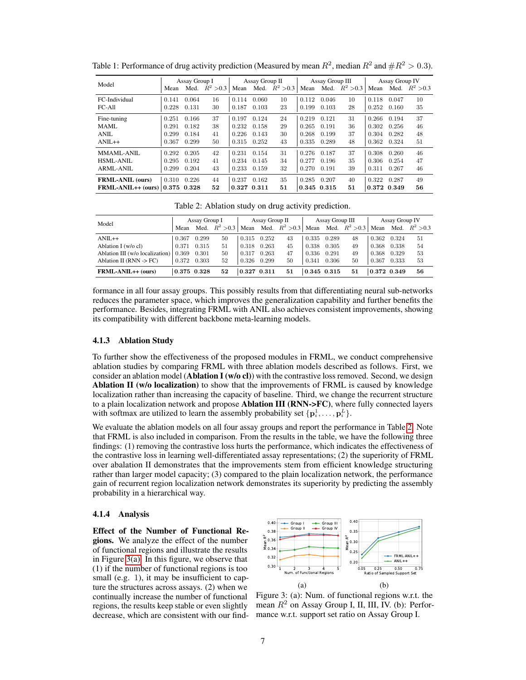| Model                               | Assay Group I |       | Assay Group II |       |       | Assay Group III  |             |       | Assay Group IV   |             |       |                  |
|-------------------------------------|---------------|-------|----------------|-------|-------|------------------|-------------|-------|------------------|-------------|-------|------------------|
|                                     | Mean          | Med.  | $R^2 > 0.3$    | Mean  |       | Med. $R^2 > 0.3$ | Mean        |       | Med. $R^2 > 0.3$ | Mean        |       | Med. $R^2 > 0.3$ |
| FC-Individual                       | 0.141         | 0.064 | 16             | 0.114 | 0.060 | 10               | 0.112       | 0.046 | 10               | 0.118       | 0.047 | 10               |
| FC-All                              | 0.228         | 0.131 | 30             | 0.187 | 0.103 | 23               | 0.199       | 0.103 | 28               | 0.252       | 0.160 | 35               |
| Fine-tuning                         | 0.251         | 0.166 | 37             | 0.197 | 0.124 | 24               | 0.219       | 0.121 | 31               | 0.266       | 0.194 | 37               |
| MAML.                               | 0.291         | 0.182 | 38             | 0.232 | 0.158 | 29               | 0.265       | 0.191 | 36               | 0.302       | 0.256 | 46               |
| ANIL                                | 0.299         | 0.184 | 41             | 0.226 | 0.143 | 30               | 0.268       | 0.199 | 37               | 0.304       | 0.282 | 48               |
| $ANII++$                            | 0.367         | 0.299 | 50             | 0.315 | 0.252 | 43               | 0.335       | 0.289 | 48               | 0.362       | 0.324 | 51               |
| MMAML-ANIL                          | 0.292         | 0.205 | 42             | 0.231 | 0.154 | 31               | 0.276       | 0.187 | 37               | 0.308       | 0.260 | 46               |
| HSML-ANIL                           | 0.295         | 0.192 | 41             | 0.234 | 0.145 | 34               | 0.277       | 0.196 | 35               | 0.306       | 0.254 | 47               |
| ARML-ANIL                           | 0.299         | 0.204 | 43             | 0.233 | 0.159 | 32               | 0.270       | 0.191 | 39               | 0.311       | 0.267 | 46               |
| <b>FRML-ANIL (ours)</b>             | 0.310         | 0.226 | 44             | 0.237 | 0.162 | 35               | 0.285       | 0.207 | 40               | 0.322       | 0.287 | 49               |
| FRML-ANIL++ (ours) $ 0.375 \t0.328$ |               |       | 52             | 0.327 | 0.311 | 51               | 0.345 0.315 |       | 51               | 0.372 0.349 |       | 56               |

<span id="page-6-0"></span>Table 1: Performance of drug activity prediction (Measured by mean  $R^2$ , median  $R^2$  and  $\#R^2 > 0.3$ ).

Table 2: Ablation study on drug activity prediction.

<span id="page-6-1"></span>

| Model                              | Assay Group I |       | Assay Group II |             | Assay Group III |                  | Assay Group IV |       |                  |             |       |                  |
|------------------------------------|---------------|-------|----------------|-------------|-----------------|------------------|----------------|-------|------------------|-------------|-------|------------------|
|                                    | Mean          | Med.  | $R^2 > 0.3$    | Mean        |                 | Med. $R^2 > 0.3$ | Mean           |       | Med. $R^2 > 0.3$ | Mean        |       | Med. $R^2 > 0.3$ |
| $ANII + +$                         | 0.367         | 0.299 | 50             | 0.315       | 0.252           | 43               | 0.335          | 0.289 | 48               | 0.362       | 0.324 | 51               |
| Ablation I (w/o cl)                | 0.371         | 0.315 | 51             | 0.318       | 0.263           | 45               | 0.338          | 0.305 | 49               | 0.368       | 0.338 | 54               |
| Ablation III (w/o localization)    | 0.369         | 0.301 | 50             | 0.317       | 0.263           | 47               | 0.336          | 0.291 | 49               | 0.368       | 0.329 | 53               |
| Ablation II (RNN $\rightarrow$ FC) | 0.372         | 0.303 | 52             | 0.326       | 0.299           | 50               | 0.341          | 0.306 | 50               | 0.367       | 0.333 | 53               |
| FRML-ANIL++ (ours)                 | 0.375 0.328   |       | 52             | 0.327 0.311 |                 | 51               | 0.345 0.315    |       | 51               | 0.372 0.349 |       | 56               |

formance in all four assay groups. This possibly results from that differentiating neural sub-networks reduces the parameter space, which improves the generalization capability and further benefits the performance. Besides, integrating FRML with ANIL also achieves consistent improvements, showing its compatibility with different backbone meta-learning models.

## 4.1.3 Ablation Study

To further show the effectiveness of the proposed modules in FRML, we conduct comprehensive ablation studies by comparing FRML with three ablation models described as follows. First, we consider an ablation model (**Ablation I** ( $w/o$  cl)) with the contrastive loss removed. Second, we design Ablation II (w/o localization) to show that the improvements of FRML is caused by knowledge localization rather than increasing the capacity of baseline. Third, we change the recurrent structure to a plain localization network and propose Ablation III (RNN->FC), where fully connected layers with softmax are utilized to learn the assembly probability set  $\{p_i^1, \ldots, p_i^L\}$ .

We evaluate the ablation models on all four assay groups and report the performance in Table [2.](#page-6-1) Note that FRML is also included in comparison. From the results in the table, we have the following three findings: (1) removing the contrastive loss hurts the performance, which indicates the effectiveness of the contrastive loss in learning well-differentiated assay representations; (2) the superiority of FRML over abalation II demonstrates that the improvements stem from efficient knowledge structuring rather than larger model capacity; (3) compared to the plain localization network, the performance gain of recurrent region localization network demonstrates its superiority by predicting the assembly probability in a hierarchical way.

#### 4.1.4 Analysis

Effect of the Number of Functional Regions. We analyze the effect of the number of functional regions and illustrate the results in Figure [3\(a\).](#page-6-2) In this figure, we observe that (1) if the number of functional regions is too small (e.g. 1), it may be insufficient to capture the structures across assays. (2) when we continually increase the number of functional regions, the results keep stable or even slightly decrease, which are consistent with our find-

<span id="page-6-2"></span>

Figure 3: (a): Num. of functional regions w.r.t. the mean  $R^2$  on Assay Group I, II, III, IV. (b): Performance w.r.t. support set ratio on Assay Group I.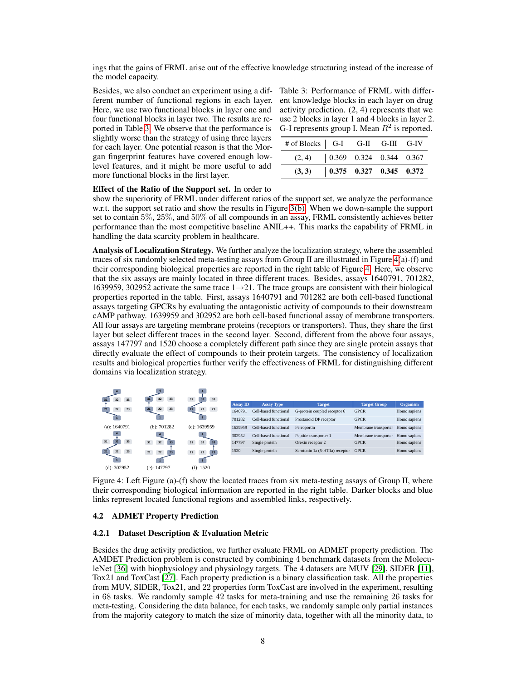ings that the gains of FRML arise out of the effective knowledge structuring instead of the increase of the model capacity.

Besides, we also conduct an experiment using a dif- Table 3: Performance of FRML with differferent number of functional regions in each layer. Here, we use two functional blocks in layer one and four functional blocks in layer two. The results are reported in Table [3.](#page-7-0) We observe that the performance is slightly worse than the strategy of using three layers for each layer. One potential reason is that the Morgan fingerprint features have covered enough lowlevel features, and it might be more useful to add more functional blocks in the first layer.

<span id="page-7-0"></span>ent knowledge blocks in each layer on drug activity prediction. (2, 4) represents that we use 2 blocks in layer 1 and 4 blocks in layer 2. G-I represents group I. Mean  $R^2$  is reported.

| # of Blocks   G-I G-II G-III G-IV                                      |  |  |
|------------------------------------------------------------------------|--|--|
| $(2, 4)$ $\begin{array}{ l} 0.369 & 0.324 & 0.344 & 0.367 \end{array}$ |  |  |
| $(3, 3)$   0.375 0.327 0.345 0.372                                     |  |  |

## Effect of the Ratio of the Support set. In order to

show the superiority of FRML under different ratios of the support set, we analyze the performance w.r.t. the support set ratio and show the results in Figure [3\(b\).](#page-6-2) When we down-sample the support set to contain 5%, 25%, and 50% of all compounds in an assay, FRML consistently achieves better performance than the most competitive baseline ANIL++. This marks the capability of FRML in handling the data scarcity problem in healthcare.

Analysis of Localization Strategy. We further analyze the localization strategy, where the assembled traces of six randomly selected meta-testing assays from Group II are illustrated in Figure [4\(](#page-7-1)a)-(f) and their corresponding biological properties are reported in the right table of Figure [4.](#page-7-1) Here, we observe that the six assays are mainly located in three different traces. Besides, assays 1640791, 701282, 1639959, 302952 activate the same trace  $1\rightarrow 21$ . The trace groups are consistent with their biological properties reported in the table. First, assays 1640791 and 701282 are both cell-based functional assays targeting GPCRs by evaluating the antagonistic activity of compounds to their downstream cAMP pathway. 1639959 and 302952 are both cell-based functional assay of membrane transporters. All four assays are targeting membrane proteins (receptors or transporters). Thus, they share the first layer but select different traces in the second layer. Second, different from the above four assays, assays 147797 and 1520 choose a completely different path since they are single protein assays that directly evaluate the effect of compounds to their protein targets. The consistency of localization results and biological properties further verify the effectiveness of FRML for distinguishing different domains via localization strategy.

<span id="page-7-1"></span>

Figure 4: Left Figure (a)-(f) show the located traces from six meta-testing assays of Group II, where their corresponding biological information are reported in the right table. Darker blocks and blue links represent located functional regions and assembled links, respectively.

#### 4.2 ADMET Property Prediction

#### 4.2.1 Dataset Description & Evaluation Metric

Besides the drug activity prediction, we further evaluate FRML on ADMET property prediction. The AMDET Prediction problem is constructed by combining 4 benchmark datasets from the MoleculeNet [\[36\]](#page-11-10) with biophysiology and physiology targets. The 4 datasets are MUV [\[29\]](#page-11-11), SIDER [\[11\]](#page-10-11), Tox21 and ToxCast [\[27\]](#page-11-12). Each property prediction is a binary classification task. All the properties from MUV, SIDER, Tox21, and 22 properties form ToxCast are involved in the experiment, resulting in 68 tasks. We randomly sample 42 tasks for meta-training and use the remaining 26 tasks for meta-testing. Considering the data balance, for each tasks, we randomly sample only partial instances from the majority category to match the size of minority data, together with all the minority data, to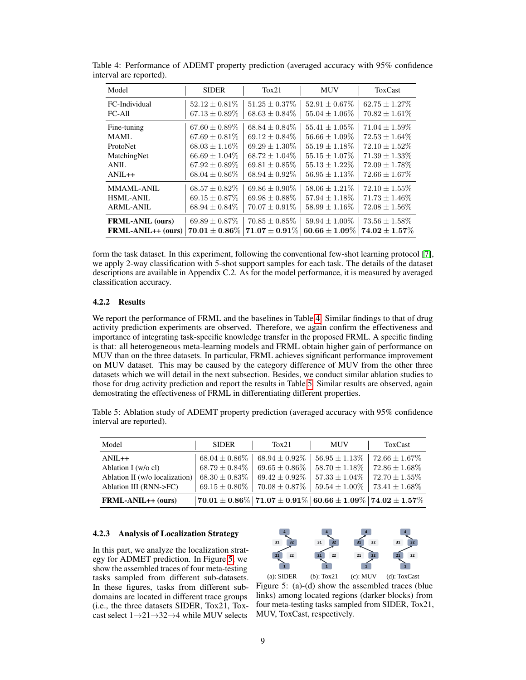| Model                   | <b>SIDER</b>                           | T <sub>ox</sub> 21                     | <b>MUV</b>                             | <b>ToxCast</b>                         |
|-------------------------|----------------------------------------|----------------------------------------|----------------------------------------|----------------------------------------|
| FC-Individual<br>FC-All | $52.12 + 0.81\%$<br>$67.13 \pm 0.89\%$ | $51.25 + 0.37\%$<br>$68.63 \pm 0.84\%$ | $52.91 + 0.67\%$<br>$55.04 \pm 1.06\%$ | $62.75 + 1.27\%$<br>$70.82 \pm 1.61\%$ |
|                         |                                        |                                        |                                        |                                        |
| Fine-tuning             | $67.60 \pm 0.89\%$                     | $68.84 + 0.84\%$                       | $55.41 + 1.05\%$                       | $71.04 + 1.59\%$                       |
| MAML.                   | $67.69 + 0.81\%$                       | $69.12 + 0.84\%$                       | $56.66 \pm 1.09\%$                     | $72.53 \pm 1.64\%$                     |
| ProtoNet                | $68.03 \pm 1.16\%$                     | $69.29 + 1.30\%$                       | $55.19 + 1.18\%$                       | $72.10 + 1.52\%$                       |
| MatchingNet             | $66.69 \pm 1.04\%$                     | $68.72 + 1.04\%$                       | $55.15 + 1.07\%$                       | $71.39 + 1.33\%$                       |
| ANIL                    | $67.92 \pm 0.89\%$                     | $69.81 \pm 0.85\%$                     | $55.13 \pm 1.22\%$                     | $72.09 \pm 1.78\%$                     |
| $ANIL++$                | $68.04 \pm 0.86\%$                     | $68.94 \pm 0.92\%$                     | $56.95 \pm 1.13\%$                     | $72.66 \pm 1.67\%$                     |
| MMAML-ANIL              | $68.57 \pm 0.82\%$                     | $69.86 + 0.90\%$                       | $58.06 + 1.21\%$                       | $72.10 + 1.55\%$                       |
| HSML-ANIL               | $69.15 \pm 0.87\%$                     | $69.98 \pm 0.88\%$                     | $57.94 \pm 1.18\%$                     | $71.73 \pm 1.46\%$                     |
| ARML-ANIL               | $68.94 \pm 0.84\%$                     | $70.07 \pm 0.91\%$                     | $58.99 \pm 1.16\%$                     | $72.08 \pm 1.56\%$                     |
| <b>FRML-ANIL (ours)</b> | $69.89 \pm 0.87\%$                     | $70.85 \pm 0.85\%$                     | $59.94 \pm 1.00\%$                     | $73.56 \pm 1.58\%$                     |
| $FRML-ANIL++ (ours)$    | $70.01 \pm 0.86\%$                     | $71.07 \pm 0.91\%$                     | 60.66 $\pm$ 1.09%                      | $74.02 \pm 1.57\%$                     |

<span id="page-8-0"></span>Table 4: Performance of ADEMT property prediction (averaged accuracy with 95% confidence interval are reported).

form the task dataset. In this experiment, following the conventional few-shot learning protocol [\[7\]](#page-10-2), we apply 2-way classification with 5-shot support samples for each task. The details of the dataset descriptions are available in Appendix C.2. As for the model performance, it is measured by averaged classification accuracy.

## 4.2.2 Results

We report the performance of FRML and the baselines in Table [4.](#page-8-0) Similar findings to that of drug activity prediction experiments are observed. Therefore, we again confirm the effectiveness and importance of integrating task-specific knowledge transfer in the proposed FRML. A specific finding is that: all heterogeneous meta-learning models and FRML obtain higher gain of performance on MUV than on the three datasets. In particular, FRML achieves significant performance improvement on MUV dataset. This may be caused by the category difference of MUV from the other three datasets which we will detail in the next subsection. Besides, we conduct similar ablation studies to those for drug activity prediction and report the results in Table [5.](#page-8-1) Similar results are observed, again demostrating the effectiveness of FRML in differentiating different properties.

<span id="page-8-1"></span>Table 5: Ablation study of ADEMT property prediction (averaged accuracy with 95% confidence interval are reported).

| Model                          | <b>SIDER</b>       | Tox21              | <b>MUV</b>                                                                                          | ToxCast            |
|--------------------------------|--------------------|--------------------|-----------------------------------------------------------------------------------------------------|--------------------|
| $ANIL++$                       | $68.04 \pm 0.86\%$ | $68.94 \pm 0.92\%$ | $56.95 \pm 1.13\%$                                                                                  | $72.66 \pm 1.67\%$ |
| Ablation I ( $w/o$ cl)         | $68.79 \pm 0.84\%$ | $69.65 \pm 0.86\%$ | $58.70 \pm 1.18\%$                                                                                  | $72.86 \pm 1.68\%$ |
| Ablation II (w/o localization) | $68.30 \pm 0.83\%$ | $69.42 \pm 0.92\%$ | $57.33 \pm 1.04\%$                                                                                  | $72.70 \pm 1.55\%$ |
| Ablation III (RNN->FC)         | $69.15 \pm 0.80\%$ | $70.08\pm0.87\%$   | $59.54 \pm 1.00\%$                                                                                  | $73.41 \pm 1.68\%$ |
| $FRML-ANIL++(ours)$            |                    |                    | $\mid$ 70.01 $\pm$ 0.86% $\mid$ 71.07 $\pm$ 0.91% $\mid$ 60.66 $\pm$ 1.09% $\mid$ 74.02 $\pm$ 1.57% |                    |

## 4.2.3 Analysis of Localization Strategy

In this part, we analyze the localization strategy for ADMET prediction. In Figure [5,](#page-8-2) we show the assembled traces of four meta-testing tasks sampled from different sub-datasets. In these figures, tasks from different subdomains are located in different trace groups (i.e., the three datasets SIDER, Tox21, Toxcast select  $1\rightarrow 21\rightarrow 32\rightarrow 4$  while MUV selects



<span id="page-8-2"></span>(a): SIDER (b): Tox21 (c): MUV (d): ToxCast Figure 5: (a)-(d) show the assembled traces (blue links) among located regions (darker blocks) from four meta-testing tasks sampled from SIDER, Tox21, MUV, ToxCast, respectively.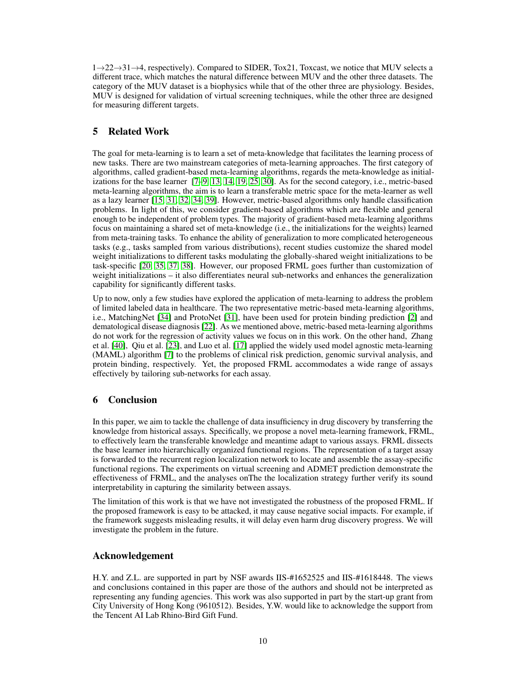$1\rightarrow 22\rightarrow 31\rightarrow 4$ , respectively). Compared to SIDER, Tox21, Toxcast, we notice that MUV selects a different trace, which matches the natural difference between MUV and the other three datasets. The category of the MUV dataset is a biophysics while that of the other three are physiology. Besides, MUV is designed for validation of virtual screening techniques, while the other three are designed for measuring different targets.

# 5 Related Work

The goal for meta-learning is to learn a set of meta-knowledge that facilitates the learning process of new tasks. There are two mainstream categories of meta-learning approaches. The first category of algorithms, called gradient-based meta-learning algorithms, regards the meta-knowledge as initializations for the base learner [\[7](#page-10-2)[–9,](#page-10-12) [13,](#page-10-13) [14,](#page-10-14) [19,](#page-10-15) [25,](#page-11-13) [30\]](#page-11-14). As for the second category, i.e., metric-based meta-learning algorithms, the aim is to learn a transferable metric space for the meta-learner as well as a lazy learner [\[15,](#page-10-16) [31,](#page-11-7) [32,](#page-11-15) [34,](#page-11-8) [39\]](#page-11-16). However, metric-based algorithms only handle classification problems. In light of this, we consider gradient-based algorithms which are flexible and general enough to be independent of problem types. The majority of gradient-based meta-learning algorithms focus on maintaining a shared set of meta-knowledge (i.e., the initializations for the weights) learned from meta-training tasks. To enhance the ability of generalization to more complicated heterogeneous tasks (e.g., tasks sampled from various distributions), recent studies customize the shared model weight initializations to different tasks modulating the globally-shared weight initializations to be task-specific [\[20,](#page-10-3) [35,](#page-11-3) [37,](#page-11-2) [38\]](#page-11-9). However, our proposed FRML goes further than customization of weight initializations – it also differentiates neural sub-networks and enhances the generalization capability for significantly different tasks.

Up to now, only a few studies have explored the application of meta-learning to address the problem of limited labeled data in healthcare. The two representative metric-based meta-learning algorithms, i.e., MatchingNet [\[34\]](#page-11-8) and ProtoNet [\[31\]](#page-11-7), have been used for protein binding prediction [\[2\]](#page-10-17) and dematological disease diagnosis [\[22\]](#page-11-17). As we mentioned above, metric-based meta-learning algorithms do not work for the regression of activity values we focus on in this work. On the other hand, Zhang et al. [\[40\]](#page-12-0), Qiu et al. [\[23\]](#page-11-18), and Luo et al. [\[17\]](#page-10-18) applied the widely used model agnostic meta-learning (MAML) algorithm [\[7\]](#page-10-2) to the problems of clinical risk prediction, genomic survival analysis, and protein binding, respectively. Yet, the proposed FRML accommodates a wide range of assays effectively by tailoring sub-networks for each assay.

# 6 Conclusion

In this paper, we aim to tackle the challenge of data insufficiency in drug discovery by transferring the knowledge from historical assays. Specifically, we propose a novel meta-learning framework, FRML, to effectively learn the transferable knowledge and meantime adapt to various assays. FRML dissects the base learner into hierarchically organized functional regions. The representation of a target assay is forwarded to the recurrent region localization network to locate and assemble the assay-specific functional regions. The experiments on virtual screening and ADMET prediction demonstrate the effectiveness of FRML, and the analyses onThe the localization strategy further verify its sound interpretability in capturing the similarity between assays.

The limitation of this work is that we have not investigated the robustness of the proposed FRML. If the proposed framework is easy to be attacked, it may cause negative social impacts. For example, if the framework suggests misleading results, it will delay even harm drug discovery progress. We will investigate the problem in the future.

# Acknowledgement

H.Y. and Z.L. are supported in part by NSF awards IIS-#1652525 and IIS-#1618448. The views and conclusions contained in this paper are those of the authors and should not be interpreted as representing any funding agencies. This work was also supported in part by the start-up grant from City University of Hong Kong (9610512). Besides, Y.W. would like to acknowledge the support from the Tencent AI Lab Rhino-Bird Gift Fund.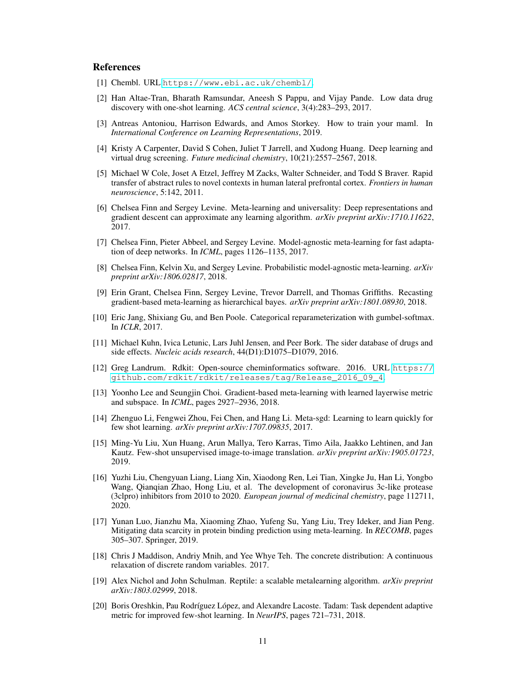## References

- <span id="page-10-9"></span>[1] Chembl. URL <https://www.ebi.ac.uk/chembl/>.
- <span id="page-10-17"></span>[2] Han Altae-Tran, Bharath Ramsundar, Aneesh S Pappu, and Vijay Pande. Low data drug discovery with one-shot learning. *ACS central science*, 3(4):283–293, 2017.
- <span id="page-10-8"></span>[3] Antreas Antoniou, Harrison Edwards, and Amos Storkey. How to train your maml. In *International Conference on Learning Representations*, 2019.
- <span id="page-10-0"></span>[4] Kristy A Carpenter, David S Cohen, Juliet T Jarrell, and Xudong Huang. Deep learning and virtual drug screening. *Future medicinal chemistry*, 10(21):2557–2567, 2018.
- <span id="page-10-4"></span>[5] Michael W Cole, Joset A Etzel, Jeffrey M Zacks, Walter Schneider, and Todd S Braver. Rapid transfer of abstract rules to novel contexts in human lateral prefrontal cortex. *Frontiers in human neuroscience*, 5:142, 2011.
- <span id="page-10-5"></span>[6] Chelsea Finn and Sergey Levine. Meta-learning and universality: Deep representations and gradient descent can approximate any learning algorithm. *arXiv preprint arXiv:1710.11622*, 2017.
- <span id="page-10-2"></span>[7] Chelsea Finn, Pieter Abbeel, and Sergey Levine. Model-agnostic meta-learning for fast adaptation of deep networks. In *ICML*, pages 1126–1135, 2017.
- [8] Chelsea Finn, Kelvin Xu, and Sergey Levine. Probabilistic model-agnostic meta-learning. *arXiv preprint arXiv:1806.02817*, 2018.
- <span id="page-10-12"></span>[9] Erin Grant, Chelsea Finn, Sergey Levine, Trevor Darrell, and Thomas Griffiths. Recasting gradient-based meta-learning as hierarchical bayes. *arXiv preprint arXiv:1801.08930*, 2018.
- <span id="page-10-6"></span>[10] Eric Jang, Shixiang Gu, and Ben Poole. Categorical reparameterization with gumbel-softmax. In *ICLR*, 2017.
- <span id="page-10-11"></span>[11] Michael Kuhn, Ivica Letunic, Lars Juhl Jensen, and Peer Bork. The sider database of drugs and side effects. *Nucleic acids research*, 44(D1):D1075–D1079, 2016.
- <span id="page-10-10"></span>[12] Greg Landrum. Rdkit: Open-source cheminformatics software. 2016. URL [https://](https://github.com/rdkit/rdkit/releases/tag/Release_2016_09_4) [github.com/rdkit/rdkit/releases/tag/Release\\_2016\\_09\\_4](https://github.com/rdkit/rdkit/releases/tag/Release_2016_09_4).
- <span id="page-10-13"></span>[13] Yoonho Lee and Seungjin Choi. Gradient-based meta-learning with learned layerwise metric and subspace. In *ICML*, pages 2927–2936, 2018.
- <span id="page-10-14"></span>[14] Zhenguo Li, Fengwei Zhou, Fei Chen, and Hang Li. Meta-sgd: Learning to learn quickly for few shot learning. *arXiv preprint arXiv:1707.09835*, 2017.
- <span id="page-10-16"></span>[15] Ming-Yu Liu, Xun Huang, Arun Mallya, Tero Karras, Timo Aila, Jaakko Lehtinen, and Jan Kautz. Few-shot unsupervised image-to-image translation. *arXiv preprint arXiv:1905.01723*, 2019.
- <span id="page-10-1"></span>[16] Yuzhi Liu, Chengyuan Liang, Liang Xin, Xiaodong Ren, Lei Tian, Xingke Ju, Han Li, Yongbo Wang, Qianqian Zhao, Hong Liu, et al. The development of coronavirus 3c-like protease (3clpro) inhibitors from 2010 to 2020. *European journal of medicinal chemistry*, page 112711, 2020.
- <span id="page-10-18"></span>[17] Yunan Luo, Jianzhu Ma, Xiaoming Zhao, Yufeng Su, Yang Liu, Trey Ideker, and Jian Peng. Mitigating data scarcity in protein binding prediction using meta-learning. In *RECOMB*, pages 305–307. Springer, 2019.
- <span id="page-10-7"></span>[18] Chris J Maddison, Andriy Mnih, and Yee Whye Teh. The concrete distribution: A continuous relaxation of discrete random variables. 2017.
- <span id="page-10-15"></span>[19] Alex Nichol and John Schulman. Reptile: a scalable metalearning algorithm. *arXiv preprint arXiv:1803.02999*, 2018.
- <span id="page-10-3"></span>[20] Boris Oreshkin, Pau Rodríguez López, and Alexandre Lacoste. Tadam: Task dependent adaptive metric for improved few-shot learning. In *NeurIPS*, pages 721–731, 2018.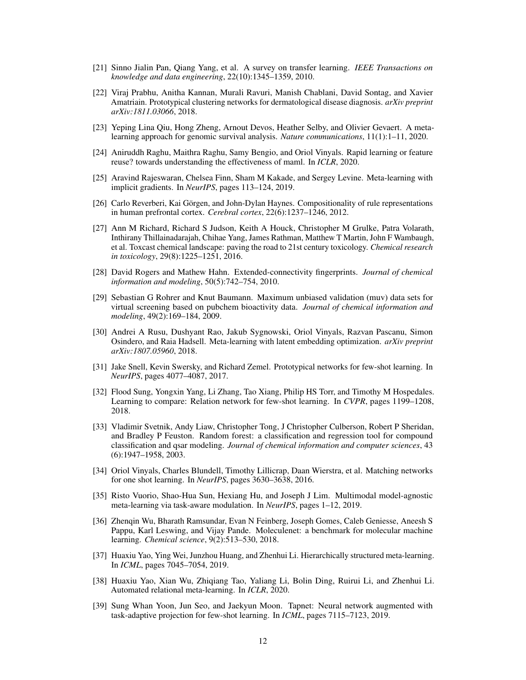- <span id="page-11-1"></span>[21] Sinno Jialin Pan, Qiang Yang, et al. A survey on transfer learning. *IEEE Transactions on knowledge and data engineering*, 22(10):1345–1359, 2010.
- <span id="page-11-17"></span>[22] Viraj Prabhu, Anitha Kannan, Murali Ravuri, Manish Chablani, David Sontag, and Xavier Amatriain. Prototypical clustering networks for dermatological disease diagnosis. *arXiv preprint arXiv:1811.03066*, 2018.
- <span id="page-11-18"></span>[23] Yeping Lina Qiu, Hong Zheng, Arnout Devos, Heather Selby, and Olivier Gevaert. A metalearning approach for genomic survival analysis. *Nature communications*, 11(1):1–11, 2020.
- <span id="page-11-6"></span>[24] Aniruddh Raghu, Maithra Raghu, Samy Bengio, and Oriol Vinyals. Rapid learning or feature reuse? towards understanding the effectiveness of maml. In *ICLR*, 2020.
- <span id="page-11-13"></span>[25] Aravind Rajeswaran, Chelsea Finn, Sham M Kakade, and Sergey Levine. Meta-learning with implicit gradients. In *NeurIPS*, pages 113–124, 2019.
- <span id="page-11-4"></span>[26] Carlo Reverberi, Kai Görgen, and John-Dylan Haynes. Compositionality of rule representations in human prefrontal cortex. *Cerebral cortex*, 22(6):1237–1246, 2012.
- <span id="page-11-12"></span>[27] Ann M Richard, Richard S Judson, Keith A Houck, Christopher M Grulke, Patra Volarath, Inthirany Thillainadarajah, Chihae Yang, James Rathman, Matthew T Martin, John F Wambaugh, et al. Toxcast chemical landscape: paving the road to 21st century toxicology. *Chemical research in toxicology*, 29(8):1225–1251, 2016.
- <span id="page-11-5"></span>[28] David Rogers and Mathew Hahn. Extended-connectivity fingerprints. *Journal of chemical information and modeling*, 50(5):742–754, 2010.
- <span id="page-11-11"></span>[29] Sebastian G Rohrer and Knut Baumann. Maximum unbiased validation (muv) data sets for virtual screening based on pubchem bioactivity data. *Journal of chemical information and modeling*, 49(2):169–184, 2009.
- <span id="page-11-14"></span>[30] Andrei A Rusu, Dushyant Rao, Jakub Sygnowski, Oriol Vinyals, Razvan Pascanu, Simon Osindero, and Raia Hadsell. Meta-learning with latent embedding optimization. *arXiv preprint arXiv:1807.05960*, 2018.
- <span id="page-11-7"></span>[31] Jake Snell, Kevin Swersky, and Richard Zemel. Prototypical networks for few-shot learning. In *NeurIPS*, pages 4077–4087, 2017.
- <span id="page-11-15"></span>[32] Flood Sung, Yongxin Yang, Li Zhang, Tao Xiang, Philip HS Torr, and Timothy M Hospedales. Learning to compare: Relation network for few-shot learning. In *CVPR*, pages 1199–1208, 2018.
- <span id="page-11-0"></span>[33] Vladimir Svetnik, Andy Liaw, Christopher Tong, J Christopher Culberson, Robert P Sheridan, and Bradley P Feuston. Random forest: a classification and regression tool for compound classification and qsar modeling. *Journal of chemical information and computer sciences*, 43 (6):1947–1958, 2003.
- <span id="page-11-8"></span>[34] Oriol Vinyals, Charles Blundell, Timothy Lillicrap, Daan Wierstra, et al. Matching networks for one shot learning. In *NeurIPS*, pages 3630–3638, 2016.
- <span id="page-11-3"></span>[35] Risto Vuorio, Shao-Hua Sun, Hexiang Hu, and Joseph J Lim. Multimodal model-agnostic meta-learning via task-aware modulation. In *NeurIPS*, pages 1–12, 2019.
- <span id="page-11-10"></span>[36] Zhenqin Wu, Bharath Ramsundar, Evan N Feinberg, Joseph Gomes, Caleb Geniesse, Aneesh S Pappu, Karl Leswing, and Vijay Pande. Moleculenet: a benchmark for molecular machine learning. *Chemical science*, 9(2):513–530, 2018.
- <span id="page-11-2"></span>[37] Huaxiu Yao, Ying Wei, Junzhou Huang, and Zhenhui Li. Hierarchically structured meta-learning. In *ICML*, pages 7045–7054, 2019.
- <span id="page-11-9"></span>[38] Huaxiu Yao, Xian Wu, Zhiqiang Tao, Yaliang Li, Bolin Ding, Ruirui Li, and Zhenhui Li. Automated relational meta-learning. In *ICLR*, 2020.
- <span id="page-11-16"></span>[39] Sung Whan Yoon, Jun Seo, and Jaekyun Moon. Tapnet: Neural network augmented with task-adaptive projection for few-shot learning. In *ICML*, pages 7115–7123, 2019.